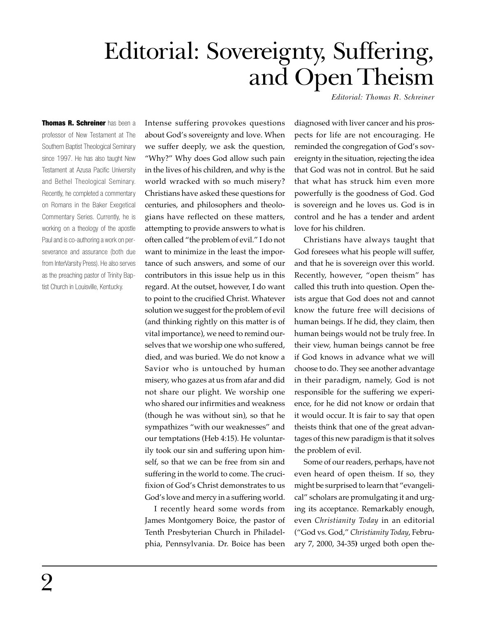## Editorial: Sovereignty, Suffering, and Open Theism

*Editorial: Thomas R. Schreiner*

Thomas R. Schreiner has been a professor of New Testament at The Southern Baptist Theological Seminary since 1997. He has also taught New Testament at Azusa Pacific University and Bethel Theological Seminary. Recently, he completed a commentary on Romans in the Baker Exegetical Commentary Series. Currently, he is working on a theology of the apostle Paul and is co-authoring a work on perseverance and assurance (both due from InterVarsity Press). He also serves as the preaching pastor of Trinity Baptist Church in Louisville, Kentucky.

Intense suffering provokes questions about God's sovereignty and love. When we suffer deeply, we ask the question, "Why?" Why does God allow such pain in the lives of his children, and why is the world wracked with so much misery? Christians have asked these questions for centuries, and philosophers and theologians have reflected on these matters, attempting to provide answers to what is often called "the problem of evil." I do not want to minimize in the least the importance of such answers, and some of our contributors in this issue help us in this regard. At the outset, however, I do want to point to the crucified Christ. Whatever solution we suggest for the problem of evil (and thinking rightly on this matter is of vital importance), we need to remind ourselves that we worship one who suffered, died, and was buried. We do not know a Savior who is untouched by human misery, who gazes at us from afar and did not share our plight. We worship one who shared our infirmities and weakness (though he was without sin), so that he sympathizes "with our weaknesses" and our temptations (Heb 4:15). He voluntarily took our sin and suffering upon himself, so that we can be free from sin and suffering in the world to come. The crucifixion of God's Christ demonstrates to us God's love and mercy in a suffering world.

I recently heard some words from James Montgomery Boice, the pastor of Tenth Presbyterian Church in Philadelphia, Pennsylvania. Dr. Boice has been

diagnosed with liver cancer and his prospects for life are not encouraging. He reminded the congregation of God's sovereignty in the situation, rejecting the idea that God was not in control. But he said that what has struck him even more powerfully is the goodness of God. God is sovereign and he loves us. God is in control and he has a tender and ardent love for his children.

Christians have always taught that God foresees what his people will suffer, and that he is sovereign over this world. Recently, however, "open theism" has called this truth into question. Open theists argue that God does not and cannot know the future free will decisions of human beings. If he did, they claim, then human beings would not be truly free. In their view, human beings cannot be free if God knows in advance what we will choose to do. They see another advantage in their paradigm, namely, God is not responsible for the suffering we experience, for he did not know or ordain that it would occur. It is fair to say that open theists think that one of the great advantages of this new paradigm is that it solves the problem of evil.

Some of our readers, perhaps, have not even heard of open theism. If so, they might be surprised to learn that "evangelical" scholars are promulgating it and urging its acceptance. Remarkably enough, even *Christianity Today* in an editorial ("God vs. God," *Christianity Today*, February 7, 2000, 34-35**)** urged both open the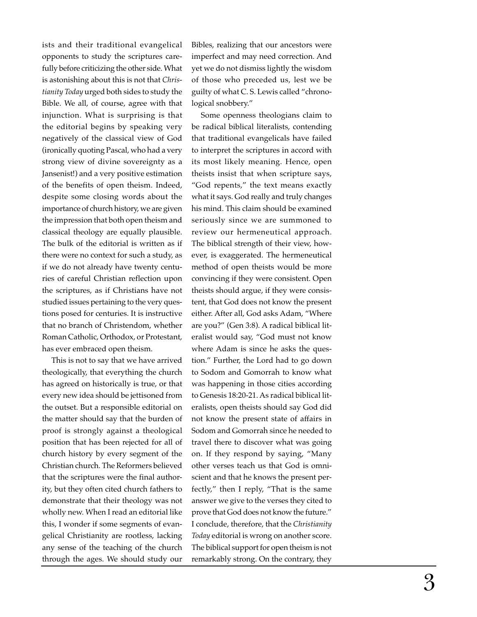ists and their traditional evangelical opponents to study the scriptures carefully before criticizing the other side. What is astonishing about this is not that *Christianity Today* urged both sides to study the Bible. We all, of course, agree with that injunction. What is surprising is that the editorial begins by speaking very negatively of the classical view of God (ironically quoting Pascal, who had a very strong view of divine sovereignty as a Jansenist!) and a very positive estimation of the benefits of open theism. Indeed, despite some closing words about the importance of church history, we are given the impression that both open theism and classical theology are equally plausible. The bulk of the editorial is written as if there were no context for such a study, as if we do not already have twenty centuries of careful Christian reflection upon the scriptures, as if Christians have not studied issues pertaining to the very questions posed for centuries. It is instructive that no branch of Christendom, whether Roman Catholic, Orthodox, or Protestant, has ever embraced open theism.

This is not to say that we have arrived theologically, that everything the church has agreed on historically is true, or that every new idea should be jettisoned from the outset. But a responsible editorial on the matter should say that the burden of proof is strongly against a theological position that has been rejected for all of church history by every segment of the Christian church. The Reformers believed that the scriptures were the final authority, but they often cited church fathers to demonstrate that their theology was not wholly new. When I read an editorial like this, I wonder if some segments of evangelical Christianity are rootless, lacking any sense of the teaching of the church through the ages. We should study our

Bibles, realizing that our ancestors were imperfect and may need correction. And yet we do not dismiss lightly the wisdom of those who preceded us, lest we be guilty of what C. S. Lewis called "chronological snobbery."

Some openness theologians claim to be radical biblical literalists, contending that traditional evangelicals have failed to interpret the scriptures in accord with its most likely meaning. Hence, open theists insist that when scripture says, "God repents," the text means exactly what it says. God really and truly changes his mind. This claim should be examined seriously since we are summoned to review our hermeneutical approach. The biblical strength of their view, however, is exaggerated. The hermeneutical method of open theists would be more convincing if they were consistent. Open theists should argue, if they were consistent, that God does not know the present either. After all, God asks Adam, "Where are you?" (Gen 3:8). A radical biblical literalist would say, "God must not know where Adam is since he asks the question." Further, the Lord had to go down to Sodom and Gomorrah to know what was happening in those cities according to Genesis 18:20-21. As radical biblical literalists, open theists should say God did not know the present state of affairs in Sodom and Gomorrah since he needed to travel there to discover what was going on. If they respond by saying, "Many other verses teach us that God is omniscient and that he knows the present perfectly," then I reply, "That is the same answer we give to the verses they cited to prove that God does not know the future." I conclude, therefore, that the *Christianity Today* editorial is wrong on another score. The biblical support for open theism is not remarkably strong. On the contrary, they